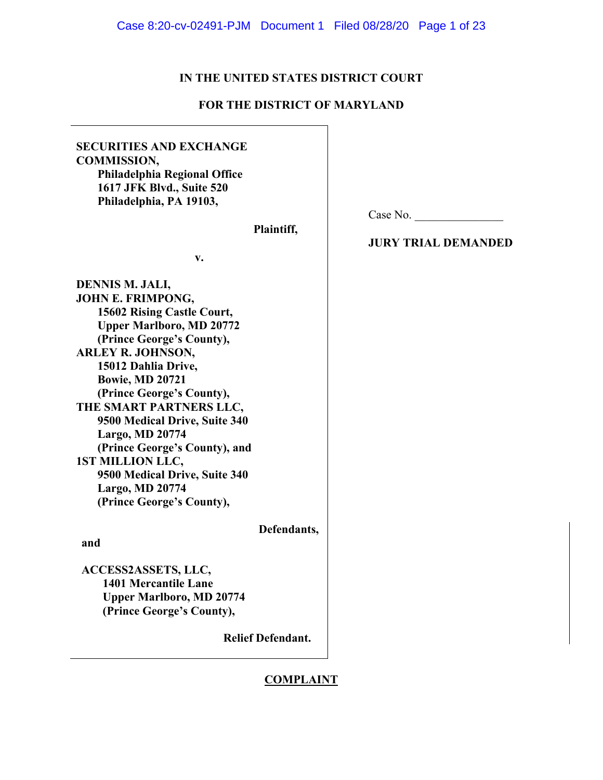# **IN THE UNITED STATES DISTRICT COURT**

# **FOR THE DISTRICT OF MARYLAND**

| <b>SECURITIES AND EXCHANGE</b><br><b>COMMISSION,</b><br>Philadelphia Regional Office<br>1617 JFK Blvd., Suite 520<br>Philadelphia, PA 19103,                                                                                                                                                                                                                                                                                                                                    |                          |                            |
|---------------------------------------------------------------------------------------------------------------------------------------------------------------------------------------------------------------------------------------------------------------------------------------------------------------------------------------------------------------------------------------------------------------------------------------------------------------------------------|--------------------------|----------------------------|
|                                                                                                                                                                                                                                                                                                                                                                                                                                                                                 |                          | Case No.                   |
|                                                                                                                                                                                                                                                                                                                                                                                                                                                                                 | Plaintiff,               |                            |
| v.                                                                                                                                                                                                                                                                                                                                                                                                                                                                              |                          | <b>JURY TRIAL DEMANDED</b> |
| DENNIS M. JALI,<br><b>JOHN E. FRIMPONG,</b><br>15602 Rising Castle Court,<br><b>Upper Marlboro, MD 20772</b><br>(Prince George's County),<br><b>ARLEY R. JOHNSON,</b><br>15012 Dahlia Drive,<br><b>Bowie, MD 20721</b><br>(Prince George's County),<br>THE SMART PARTNERS LLC,<br>9500 Medical Drive, Suite 340<br>Largo, MD 20774<br>(Prince George's County), and<br><b>1ST MILLION LLC,</b><br>9500 Medical Drive, Suite 340<br>Largo, MD 20774<br>(Prince George's County), |                          |                            |
|                                                                                                                                                                                                                                                                                                                                                                                                                                                                                 | Defendants,              |                            |
| and                                                                                                                                                                                                                                                                                                                                                                                                                                                                             |                          |                            |
| ACCESS2ASSETS, LLC,<br>1401 Mercantile Lane<br><b>Upper Marlboro, MD 20774</b><br>(Prince George's County),                                                                                                                                                                                                                                                                                                                                                                     | <b>Relief Defendant.</b> |                            |

# **COMPLAINT**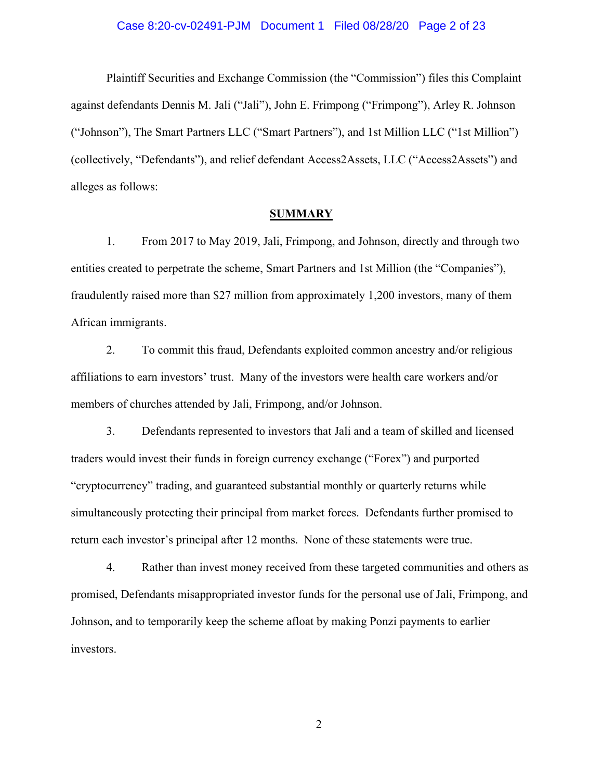#### Case 8:20-cv-02491-PJM Document 1 Filed 08/28/20 Page 2 of 23

Plaintiff Securities and Exchange Commission (the "Commission") files this Complaint against defendants Dennis M. Jali ("Jali"), John E. Frimpong ("Frimpong"), Arley R. Johnson ("Johnson"), The Smart Partners LLC ("Smart Partners"), and 1st Million LLC ("1st Million") (collectively, "Defendants"), and relief defendant Access2Assets, LLC ("Access2Assets") and alleges as follows:

## **SUMMARY**

1. From 2017 to May 2019, Jali, Frimpong, and Johnson, directly and through two entities created to perpetrate the scheme, Smart Partners and 1st Million (the "Companies"), fraudulently raised more than \$27 million from approximately 1,200 investors, many of them African immigrants.

2. To commit this fraud, Defendants exploited common ancestry and/or religious affiliations to earn investors' trust. Many of the investors were health care workers and/or members of churches attended by Jali, Frimpong, and/or Johnson.

3. Defendants represented to investors that Jali and a team of skilled and licensed traders would invest their funds in foreign currency exchange ("Forex") and purported "cryptocurrency" trading, and guaranteed substantial monthly or quarterly returns while simultaneously protecting their principal from market forces. Defendants further promised to return each investor's principal after 12 months. None of these statements were true.

4. Rather than invest money received from these targeted communities and others as promised, Defendants misappropriated investor funds for the personal use of Jali, Frimpong, and Johnson, and to temporarily keep the scheme afloat by making Ponzi payments to earlier investors.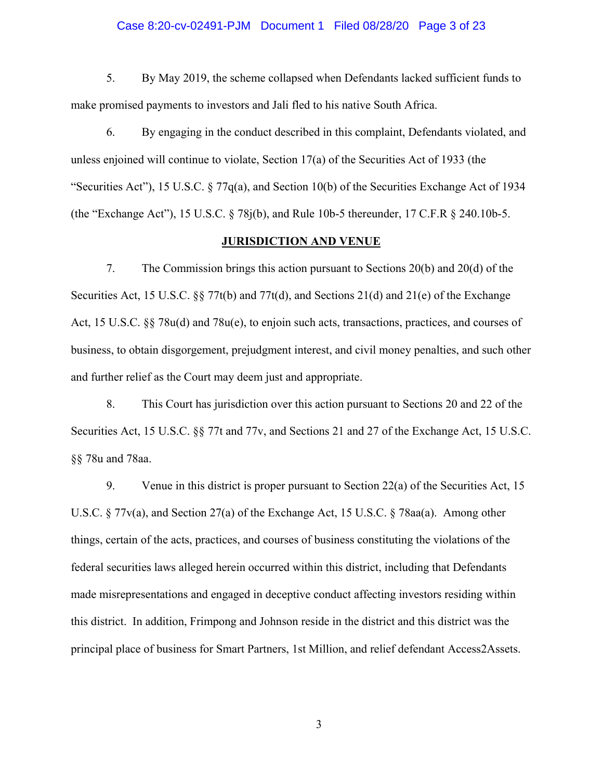#### Case 8:20-cv-02491-PJM Document 1 Filed 08/28/20 Page 3 of 23

5. By May 2019, the scheme collapsed when Defendants lacked sufficient funds to make promised payments to investors and Jali fled to his native South Africa.

6. By engaging in the conduct described in this complaint, Defendants violated, and unless enjoined will continue to violate, Section 17(a) of the Securities Act of 1933 (the "Securities Act"), 15 U.S.C.  $\S 77q(a)$ , and Section 10(b) of the Securities Exchange Act of 1934 (the "Exchange Act"), 15 U.S.C. § 78j(b), and Rule 10b-5 thereunder, 17 C.F.R § 240.10b-5.

#### **JURISDICTION AND VENUE**

7. The Commission brings this action pursuant to Sections 20(b) and 20(d) of the Securities Act, 15 U.S.C. §§ 77t(b) and 77t(d), and Sections 21(d) and 21(e) of the Exchange Act, 15 U.S.C. §§ 78u(d) and 78u(e), to enjoin such acts, transactions, practices, and courses of business, to obtain disgorgement, prejudgment interest, and civil money penalties, and such other and further relief as the Court may deem just and appropriate.

8. This Court has jurisdiction over this action pursuant to Sections 20 and 22 of the Securities Act, 15 U.S.C. §§ 77t and 77v, and Sections 21 and 27 of the Exchange Act, 15 U.S.C. §§ 78u and 78aa.

9. Venue in this district is proper pursuant to Section 22(a) of the Securities Act, 15 U.S.C. § 77v(a), and Section 27(a) of the Exchange Act, 15 U.S.C. § 78aa(a). Among other things, certain of the acts, practices, and courses of business constituting the violations of the federal securities laws alleged herein occurred within this district, including that Defendants made misrepresentations and engaged in deceptive conduct affecting investors residing within this district. In addition, Frimpong and Johnson reside in the district and this district was the principal place of business for Smart Partners, 1st Million, and relief defendant Access2Assets.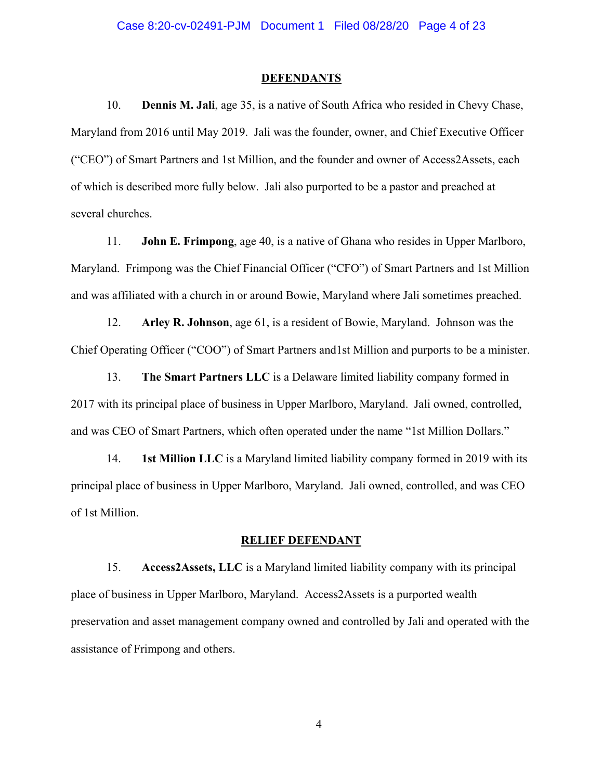#### **DEFENDANTS**

10. **Dennis M. Jali**, age 35, is a native of South Africa who resided in Chevy Chase, Maryland from 2016 until May 2019. Jali was the founder, owner, and Chief Executive Officer ("CEO") of Smart Partners and 1st Million, and the founder and owner of Access2Assets, each of which is described more fully below. Jali also purported to be a pastor and preached at several churches.

11. **John E. Frimpong**, age 40, is a native of Ghana who resides in Upper Marlboro, Maryland. Frimpong was the Chief Financial Officer ("CFO") of Smart Partners and 1st Million and was affiliated with a church in or around Bowie, Maryland where Jali sometimes preached.

12. **Arley R. Johnson**, age 61, is a resident of Bowie, Maryland. Johnson was the Chief Operating Officer ("COO") of Smart Partners and1st Million and purports to be a minister.

13. **The Smart Partners LLC** is a Delaware limited liability company formed in 2017 with its principal place of business in Upper Marlboro, Maryland. Jali owned, controlled, and was CEO of Smart Partners, which often operated under the name "1st Million Dollars."

14. **1st Million LLC** is a Maryland limited liability company formed in 2019 with its principal place of business in Upper Marlboro, Maryland. Jali owned, controlled, and was CEO of 1st Million.

#### **RELIEF DEFENDANT**

15. **Access2Assets, LLC** is a Maryland limited liability company with its principal place of business in Upper Marlboro, Maryland. Access2Assets is a purported wealth preservation and asset management company owned and controlled by Jali and operated with the assistance of Frimpong and others.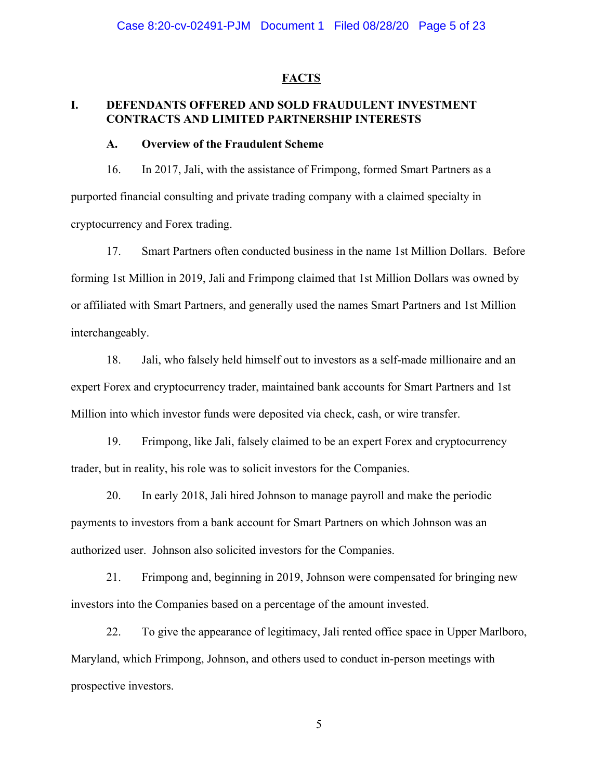#### **FACTS**

# **I. DEFENDANTS OFFERED AND SOLD FRAUDULENT INVESTMENT CONTRACTS AND LIMITED PARTNERSHIP INTERESTS**

#### **A. Overview of the Fraudulent Scheme**

16. In 2017, Jali, with the assistance of Frimpong, formed Smart Partners as a purported financial consulting and private trading company with a claimed specialty in cryptocurrency and Forex trading.

17. Smart Partners often conducted business in the name 1st Million Dollars. Before forming 1st Million in 2019, Jali and Frimpong claimed that 1st Million Dollars was owned by or affiliated with Smart Partners, and generally used the names Smart Partners and 1st Million interchangeably.

18. Jali, who falsely held himself out to investors as a self-made millionaire and an expert Forex and cryptocurrency trader, maintained bank accounts for Smart Partners and 1st Million into which investor funds were deposited via check, cash, or wire transfer.

19. Frimpong, like Jali, falsely claimed to be an expert Forex and cryptocurrency trader, but in reality, his role was to solicit investors for the Companies.

20. In early 2018, Jali hired Johnson to manage payroll and make the periodic payments to investors from a bank account for Smart Partners on which Johnson was an authorized user. Johnson also solicited investors for the Companies.

21. Frimpong and, beginning in 2019, Johnson were compensated for bringing new investors into the Companies based on a percentage of the amount invested.

22. To give the appearance of legitimacy, Jali rented office space in Upper Marlboro, Maryland, which Frimpong, Johnson, and others used to conduct in-person meetings with prospective investors.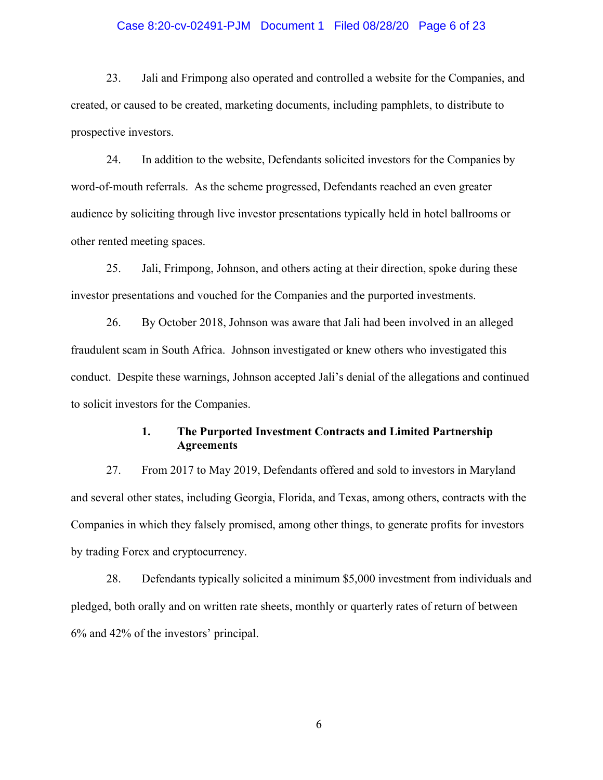### Case 8:20-cv-02491-PJM Document 1 Filed 08/28/20 Page 6 of 23

23. Jali and Frimpong also operated and controlled a website for the Companies, and created, or caused to be created, marketing documents, including pamphlets, to distribute to prospective investors.

24. In addition to the website, Defendants solicited investors for the Companies by word-of-mouth referrals. As the scheme progressed, Defendants reached an even greater audience by soliciting through live investor presentations typically held in hotel ballrooms or other rented meeting spaces.

25. Jali, Frimpong, Johnson, and others acting at their direction, spoke during these investor presentations and vouched for the Companies and the purported investments.

26. By October 2018, Johnson was aware that Jali had been involved in an alleged fraudulent scam in South Africa. Johnson investigated or knew others who investigated this conduct. Despite these warnings, Johnson accepted Jali's denial of the allegations and continued to solicit investors for the Companies.

## **1. The Purported Investment Contracts and Limited Partnership Agreements**

27. From 2017 to May 2019, Defendants offered and sold to investors in Maryland and several other states, including Georgia, Florida, and Texas, among others, contracts with the Companies in which they falsely promised, among other things, to generate profits for investors by trading Forex and cryptocurrency.

28. Defendants typically solicited a minimum \$5,000 investment from individuals and pledged, both orally and on written rate sheets, monthly or quarterly rates of return of between 6% and 42% of the investors' principal.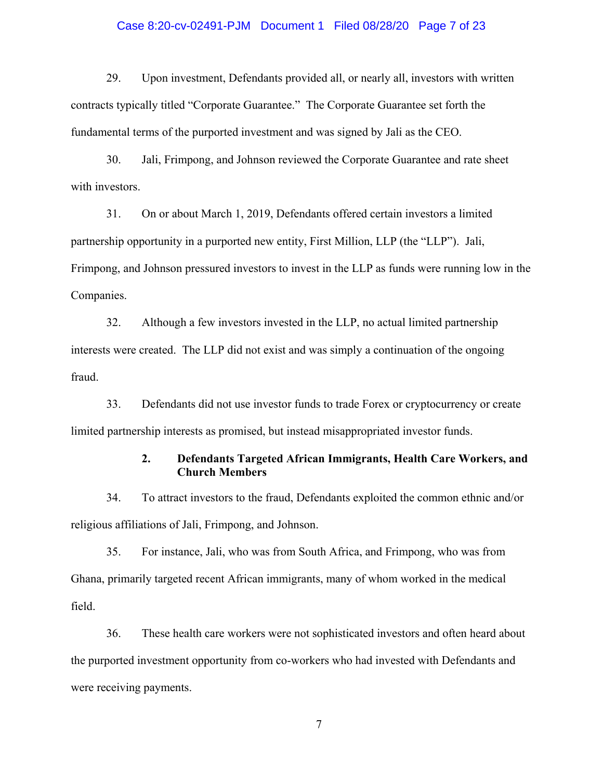## Case 8:20-cv-02491-PJM Document 1 Filed 08/28/20 Page 7 of 23

29. Upon investment, Defendants provided all, or nearly all, investors with written contracts typically titled "Corporate Guarantee." The Corporate Guarantee set forth the fundamental terms of the purported investment and was signed by Jali as the CEO.

30. Jali, Frimpong, and Johnson reviewed the Corporate Guarantee and rate sheet with investors.

31. On or about March 1, 2019, Defendants offered certain investors a limited partnership opportunity in a purported new entity, First Million, LLP (the "LLP"). Jali, Frimpong, and Johnson pressured investors to invest in the LLP as funds were running low in the Companies.

32. Although a few investors invested in the LLP, no actual limited partnership interests were created. The LLP did not exist and was simply a continuation of the ongoing fraud.

33. Defendants did not use investor funds to trade Forex or cryptocurrency or create limited partnership interests as promised, but instead misappropriated investor funds.

## **2. Defendants Targeted African Immigrants, Health Care Workers, and Church Members**

34. To attract investors to the fraud, Defendants exploited the common ethnic and/or religious affiliations of Jali, Frimpong, and Johnson.

35. For instance, Jali, who was from South Africa, and Frimpong, who was from Ghana, primarily targeted recent African immigrants, many of whom worked in the medical field.

36. These health care workers were not sophisticated investors and often heard about the purported investment opportunity from co-workers who had invested with Defendants and were receiving payments.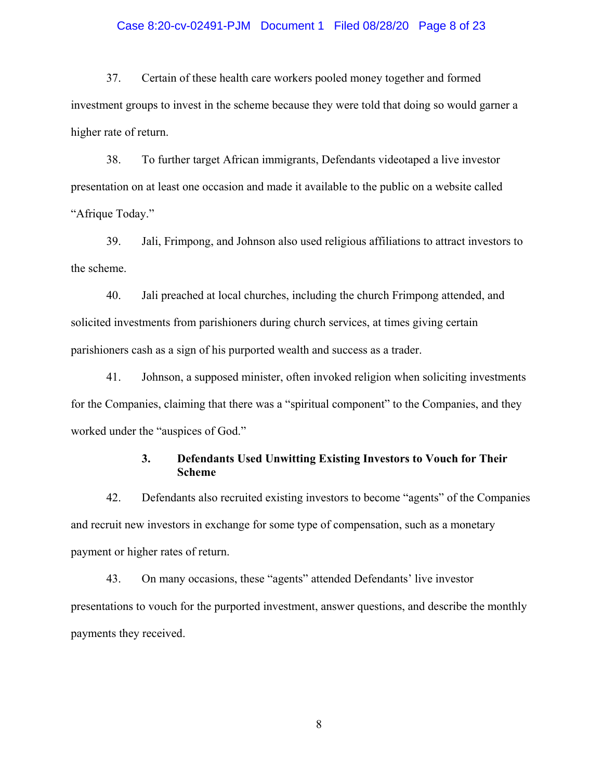### Case 8:20-cv-02491-PJM Document 1 Filed 08/28/20 Page 8 of 23

37. Certain of these health care workers pooled money together and formed investment groups to invest in the scheme because they were told that doing so would garner a higher rate of return.

38. To further target African immigrants, Defendants videotaped a live investor presentation on at least one occasion and made it available to the public on a website called "Afrique Today."

39. Jali, Frimpong, and Johnson also used religious affiliations to attract investors to the scheme.

40. Jali preached at local churches, including the church Frimpong attended, and solicited investments from parishioners during church services, at times giving certain parishioners cash as a sign of his purported wealth and success as a trader.

41. Johnson, a supposed minister, often invoked religion when soliciting investments for the Companies, claiming that there was a "spiritual component" to the Companies, and they worked under the "auspices of God."

## **3. Defendants Used Unwitting Existing Investors to Vouch for Their Scheme**

42. Defendants also recruited existing investors to become "agents" of the Companies and recruit new investors in exchange for some type of compensation, such as a monetary payment or higher rates of return.

43. On many occasions, these "agents" attended Defendants' live investor presentations to vouch for the purported investment, answer questions, and describe the monthly payments they received.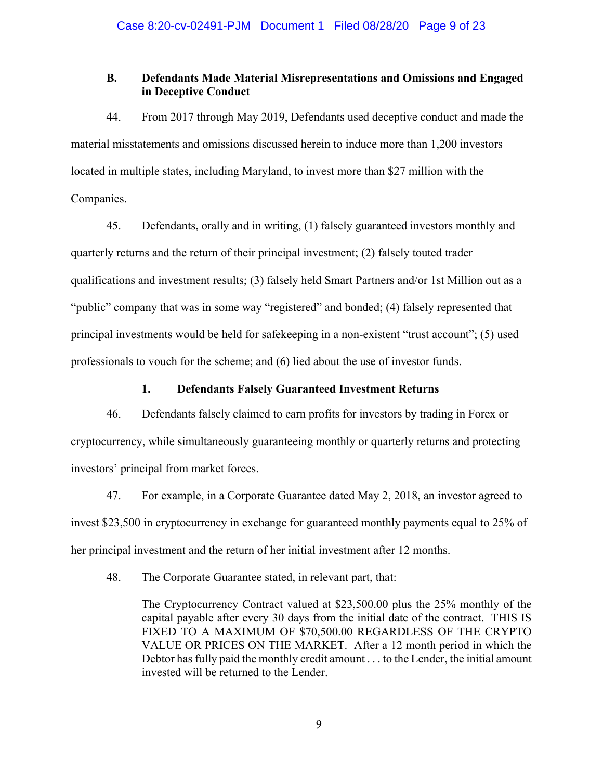# **B. Defendants Made Material Misrepresentations and Omissions and Engaged in Deceptive Conduct**

44. From 2017 through May 2019, Defendants used deceptive conduct and made the material misstatements and omissions discussed herein to induce more than 1,200 investors located in multiple states, including Maryland, to invest more than \$27 million with the Companies.

45. Defendants, orally and in writing, (1) falsely guaranteed investors monthly and quarterly returns and the return of their principal investment; (2) falsely touted trader qualifications and investment results; (3) falsely held Smart Partners and/or 1st Million out as a "public" company that was in some way "registered" and bonded; (4) falsely represented that principal investments would be held for safekeeping in a non-existent "trust account"; (5) used professionals to vouch for the scheme; and (6) lied about the use of investor funds.

# **1. Defendants Falsely Guaranteed Investment Returns**

46. Defendants falsely claimed to earn profits for investors by trading in Forex or cryptocurrency, while simultaneously guaranteeing monthly or quarterly returns and protecting investors' principal from market forces.

47. For example, in a Corporate Guarantee dated May 2, 2018, an investor agreed to invest \$23,500 in cryptocurrency in exchange for guaranteed monthly payments equal to 25% of her principal investment and the return of her initial investment after 12 months.

48. The Corporate Guarantee stated, in relevant part, that:

The Cryptocurrency Contract valued at \$23,500.00 plus the 25% monthly of the capital payable after every 30 days from the initial date of the contract. THIS IS FIXED TO A MAXIMUM OF \$70,500.00 REGARDLESS OF THE CRYPTO VALUE OR PRICES ON THE MARKET. After a 12 month period in which the Debtor has fully paid the monthly credit amount . . . to the Lender, the initial amount invested will be returned to the Lender.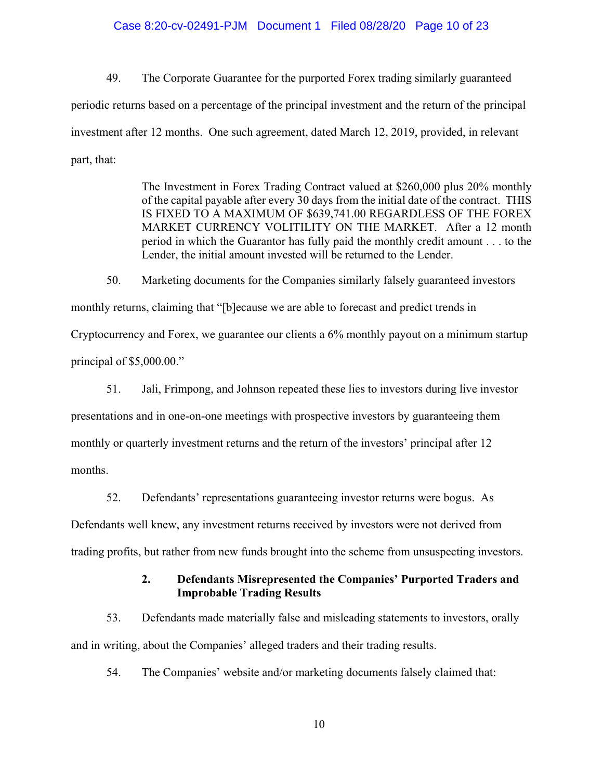#### Case 8:20-cv-02491-PJM Document 1 Filed 08/28/20 Page 10 of 23

49. The Corporate Guarantee for the purported Forex trading similarly guaranteed periodic returns based on a percentage of the principal investment and the return of the principal investment after 12 months. One such agreement, dated March 12, 2019, provided, in relevant part, that:

> The Investment in Forex Trading Contract valued at \$260,000 plus 20% monthly of the capital payable after every 30 days from the initial date of the contract. THIS IS FIXED TO A MAXIMUM OF \$639,741.00 REGARDLESS OF THE FOREX MARKET CURRENCY VOLITILITY ON THE MARKET. After a 12 month period in which the Guarantor has fully paid the monthly credit amount . . . to the Lender, the initial amount invested will be returned to the Lender.

50. Marketing documents for the Companies similarly falsely guaranteed investors monthly returns, claiming that "[b]ecause we are able to forecast and predict trends in Cryptocurrency and Forex, we guarantee our clients a 6% monthly payout on a minimum startup principal of \$5,000.00."

51. Jali, Frimpong, and Johnson repeated these lies to investors during live investor presentations and in one-on-one meetings with prospective investors by guaranteeing them monthly or quarterly investment returns and the return of the investors' principal after 12 months.

52. Defendants' representations guaranteeing investor returns were bogus. As

Defendants well knew, any investment returns received by investors were not derived from

trading profits, but rather from new funds brought into the scheme from unsuspecting investors.

## **2. Defendants Misrepresented the Companies' Purported Traders and Improbable Trading Results**

53. Defendants made materially false and misleading statements to investors, orally and in writing, about the Companies' alleged traders and their trading results.

54. The Companies' website and/or marketing documents falsely claimed that: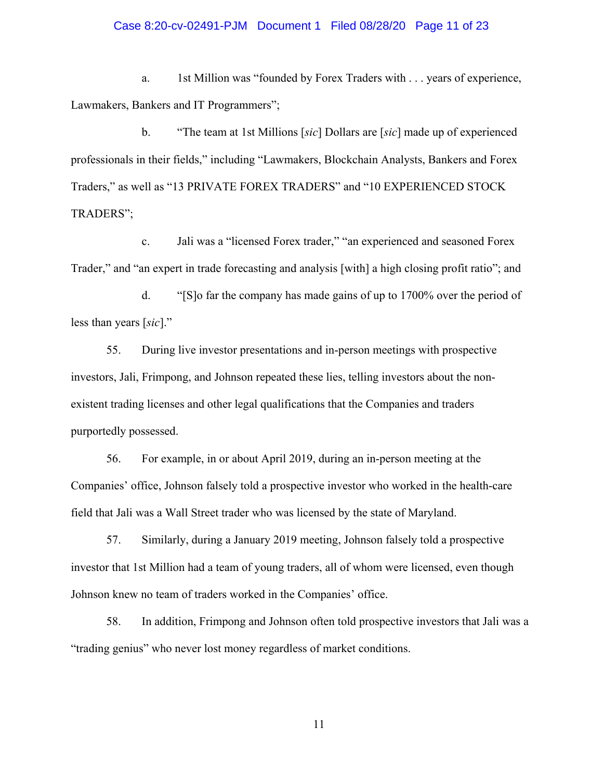#### Case 8:20-cv-02491-PJM Document 1 Filed 08/28/20 Page 11 of 23

a. 1st Million was "founded by Forex Traders with . . . years of experience, Lawmakers, Bankers and IT Programmers";

b. "The team at 1st Millions [*sic*] Dollars are [*sic*] made up of experienced professionals in their fields," including "Lawmakers, Blockchain Analysts, Bankers and Forex Traders," as well as "13 PRIVATE FOREX TRADERS" and "10 EXPERIENCED STOCK TRADERS";

c. Jali was a "licensed Forex trader," "an experienced and seasoned Forex Trader," and "an expert in trade forecasting and analysis [with] a high closing profit ratio"; and

d. "[S]o far the company has made gains of up to 1700% over the period of less than years [*sic*]."

55. During live investor presentations and in-person meetings with prospective investors, Jali, Frimpong, and Johnson repeated these lies, telling investors about the nonexistent trading licenses and other legal qualifications that the Companies and traders purportedly possessed.

56. For example, in or about April 2019, during an in-person meeting at the Companies' office, Johnson falsely told a prospective investor who worked in the health-care field that Jali was a Wall Street trader who was licensed by the state of Maryland.

57. Similarly, during a January 2019 meeting, Johnson falsely told a prospective investor that 1st Million had a team of young traders, all of whom were licensed, even though Johnson knew no team of traders worked in the Companies' office.

58. In addition, Frimpong and Johnson often told prospective investors that Jali was a "trading genius" who never lost money regardless of market conditions.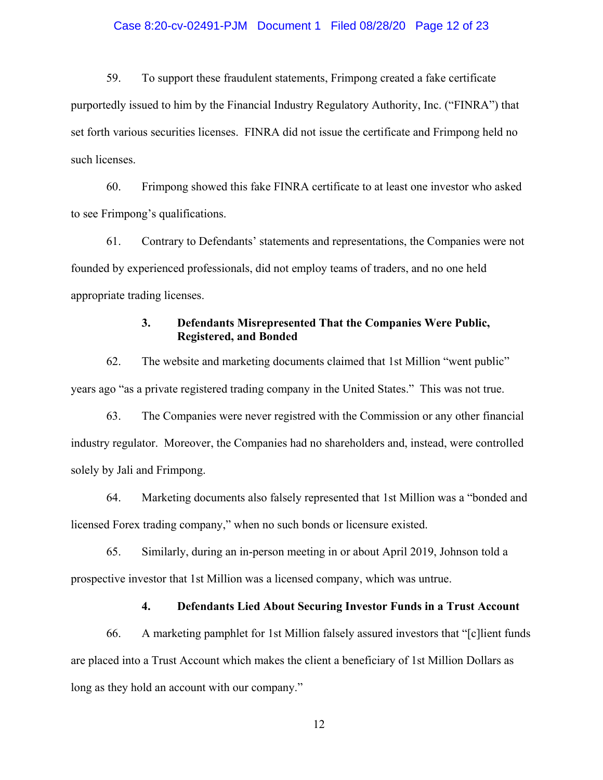## Case 8:20-cv-02491-PJM Document 1 Filed 08/28/20 Page 12 of 23

59. To support these fraudulent statements, Frimpong created a fake certificate purportedly issued to him by the Financial Industry Regulatory Authority, Inc. ("FINRA") that set forth various securities licenses. FINRA did not issue the certificate and Frimpong held no such licenses.

60. Frimpong showed this fake FINRA certificate to at least one investor who asked to see Frimpong's qualifications.

61. Contrary to Defendants' statements and representations, the Companies were not founded by experienced professionals, did not employ teams of traders, and no one held appropriate trading licenses.

## **3. Defendants Misrepresented That the Companies Were Public, Registered, and Bonded**

62. The website and marketing documents claimed that 1st Million "went public" years ago "as a private registered trading company in the United States." This was not true.

63. The Companies were never registred with the Commission or any other financial industry regulator. Moreover, the Companies had no shareholders and, instead, were controlled solely by Jali and Frimpong.

64. Marketing documents also falsely represented that 1st Million was a "bonded and licensed Forex trading company," when no such bonds or licensure existed.

65. Similarly, during an in-person meeting in or about April 2019, Johnson told a prospective investor that 1st Million was a licensed company, which was untrue.

## **4. Defendants Lied About Securing Investor Funds in a Trust Account**

66. A marketing pamphlet for 1st Million falsely assured investors that "[c]lient funds are placed into a Trust Account which makes the client a beneficiary of 1st Million Dollars as long as they hold an account with our company."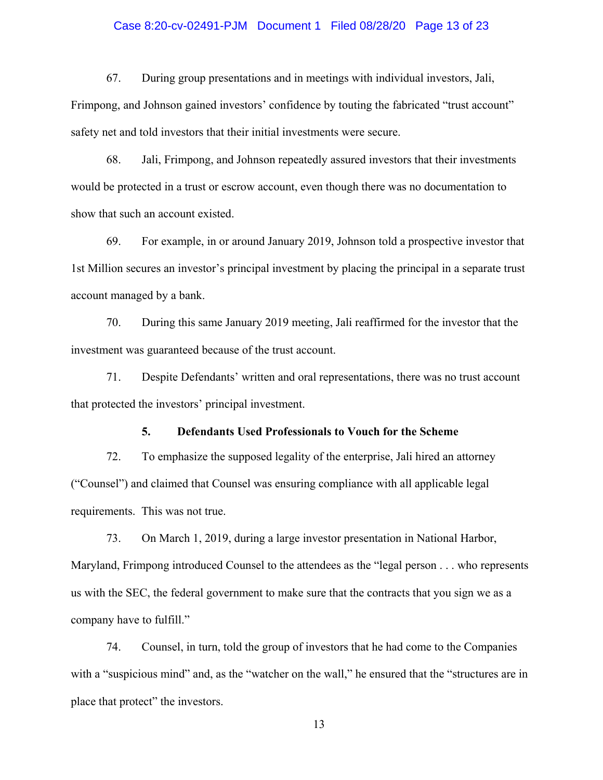## Case 8:20-cv-02491-PJM Document 1 Filed 08/28/20 Page 13 of 23

67. During group presentations and in meetings with individual investors, Jali,

Frimpong, and Johnson gained investors' confidence by touting the fabricated "trust account" safety net and told investors that their initial investments were secure.

68. Jali, Frimpong, and Johnson repeatedly assured investors that their investments would be protected in a trust or escrow account, even though there was no documentation to show that such an account existed.

69. For example, in or around January 2019, Johnson told a prospective investor that 1st Million secures an investor's principal investment by placing the principal in a separate trust account managed by a bank.

70. During this same January 2019 meeting, Jali reaffirmed for the investor that the investment was guaranteed because of the trust account.

71. Despite Defendants' written and oral representations, there was no trust account that protected the investors' principal investment.

### **5. Defendants Used Professionals to Vouch for the Scheme**

72. To emphasize the supposed legality of the enterprise, Jali hired an attorney ("Counsel") and claimed that Counsel was ensuring compliance with all applicable legal requirements. This was not true.

73. On March 1, 2019, during a large investor presentation in National Harbor, Maryland, Frimpong introduced Counsel to the attendees as the "legal person . . . who represents us with the SEC, the federal government to make sure that the contracts that you sign we as a company have to fulfill."

74. Counsel, in turn, told the group of investors that he had come to the Companies with a "suspicious mind" and, as the "watcher on the wall," he ensured that the "structures are in place that protect" the investors.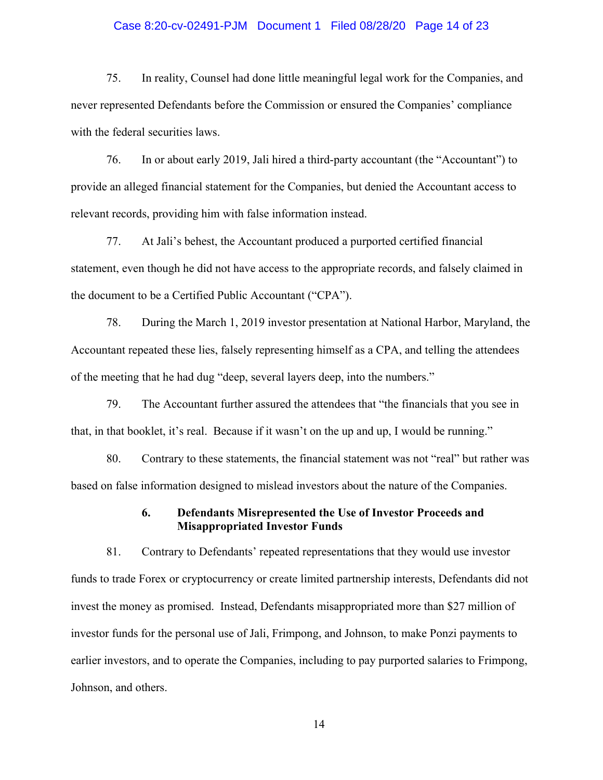### Case 8:20-cv-02491-PJM Document 1 Filed 08/28/20 Page 14 of 23

75. In reality, Counsel had done little meaningful legal work for the Companies, and never represented Defendants before the Commission or ensured the Companies' compliance with the federal securities laws.

76. In or about early 2019, Jali hired a third-party accountant (the "Accountant") to provide an alleged financial statement for the Companies, but denied the Accountant access to relevant records, providing him with false information instead.

77. At Jali's behest, the Accountant produced a purported certified financial statement, even though he did not have access to the appropriate records, and falsely claimed in the document to be a Certified Public Accountant ("CPA").

78. During the March 1, 2019 investor presentation at National Harbor, Maryland, the Accountant repeated these lies, falsely representing himself as a CPA, and telling the attendees of the meeting that he had dug "deep, several layers deep, into the numbers."

79. The Accountant further assured the attendees that "the financials that you see in that, in that booklet, it's real. Because if it wasn't on the up and up, I would be running."

80. Contrary to these statements, the financial statement was not "real" but rather was based on false information designed to mislead investors about the nature of the Companies.

## **6. Defendants Misrepresented the Use of Investor Proceeds and Misappropriated Investor Funds**

81. Contrary to Defendants' repeated representations that they would use investor funds to trade Forex or cryptocurrency or create limited partnership interests, Defendants did not invest the money as promised. Instead, Defendants misappropriated more than \$27 million of investor funds for the personal use of Jali, Frimpong, and Johnson, to make Ponzi payments to earlier investors, and to operate the Companies, including to pay purported salaries to Frimpong, Johnson, and others.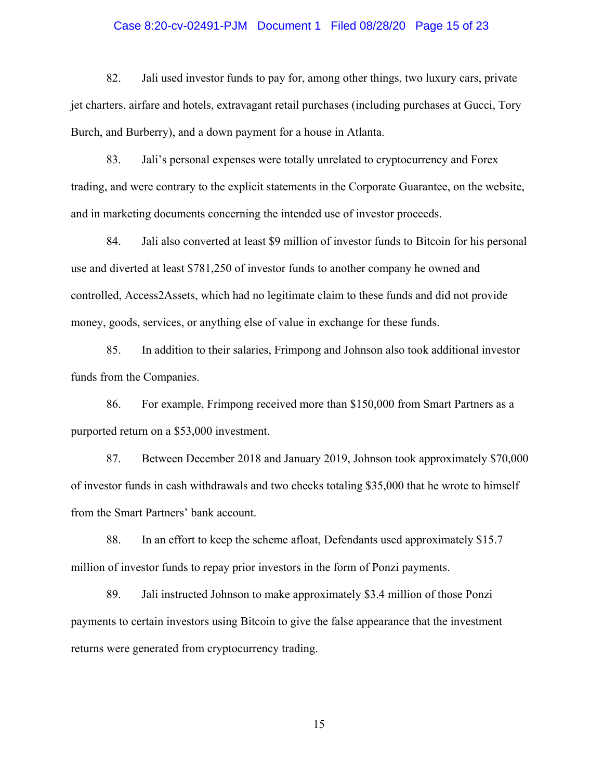#### Case 8:20-cv-02491-PJM Document 1 Filed 08/28/20 Page 15 of 23

82. Jali used investor funds to pay for, among other things, two luxury cars, private jet charters, airfare and hotels, extravagant retail purchases (including purchases at Gucci, Tory Burch, and Burberry), and a down payment for a house in Atlanta.

83. Jali's personal expenses were totally unrelated to cryptocurrency and Forex trading, and were contrary to the explicit statements in the Corporate Guarantee, on the website, and in marketing documents concerning the intended use of investor proceeds.

84. Jali also converted at least \$9 million of investor funds to Bitcoin for his personal use and diverted at least \$781,250 of investor funds to another company he owned and controlled, Access2Assets, which had no legitimate claim to these funds and did not provide money, goods, services, or anything else of value in exchange for these funds.

85. In addition to their salaries, Frimpong and Johnson also took additional investor funds from the Companies.

86. For example, Frimpong received more than \$150,000 from Smart Partners as a purported return on a \$53,000 investment.

87. Between December 2018 and January 2019, Johnson took approximately \$70,000 of investor funds in cash withdrawals and two checks totaling \$35,000 that he wrote to himself from the Smart Partners' bank account.

88. In an effort to keep the scheme afloat, Defendants used approximately \$15.7 million of investor funds to repay prior investors in the form of Ponzi payments.

89. Jali instructed Johnson to make approximately \$3.4 million of those Ponzi payments to certain investors using Bitcoin to give the false appearance that the investment returns were generated from cryptocurrency trading.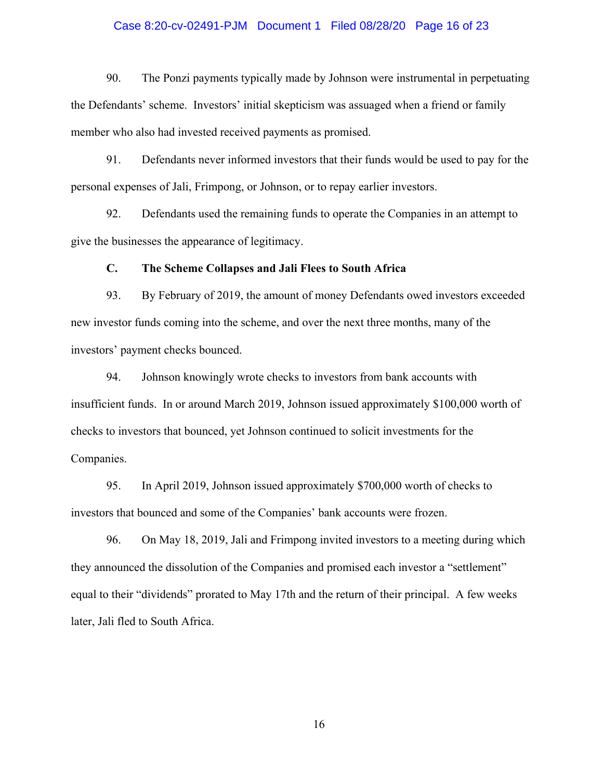### Case 8:20-cv-02491-PJM Document 1 Filed 08/28/20 Page 16 of 23

90. The Ponzi payments typically made by Johnson were instrumental in perpetuating the Defendants' scheme. Investors' initial skepticism was assuaged when a friend or family member who also had invested received payments as promised.

91. Defendants never informed investors that their funds would be used to pay for the personal expenses of Jali, Frimpong, or Johnson, or to repay earlier investors.

92. Defendants used the remaining funds to operate the Companies in an attempt to give the businesses the appearance of legitimacy.

#### **C. The Scheme Collapses and Jali Flees to South Africa**

93. By February of 2019, the amount of money Defendants owed investors exceeded new investor funds coming into the scheme, and over the next three months, many of the investors' payment checks bounced.

94. Johnson knowingly wrote checks to investors from bank accounts with insufficient funds. In or around March 2019, Johnson issued approximately \$100,000 worth of checks to investors that bounced, yet Johnson continued to solicit investments for the Companies.

95. In April 2019, Johnson issued approximately \$700,000 worth of checks to investors that bounced and some of the Companies' bank accounts were frozen.

96. On May 18, 2019, Jali and Frimpong invited investors to a meeting during which they announced the dissolution of the Companies and promised each investor a "settlement" equal to their "dividends" prorated to May 17th and the return of their principal. A few weeks later, Jali fled to South Africa.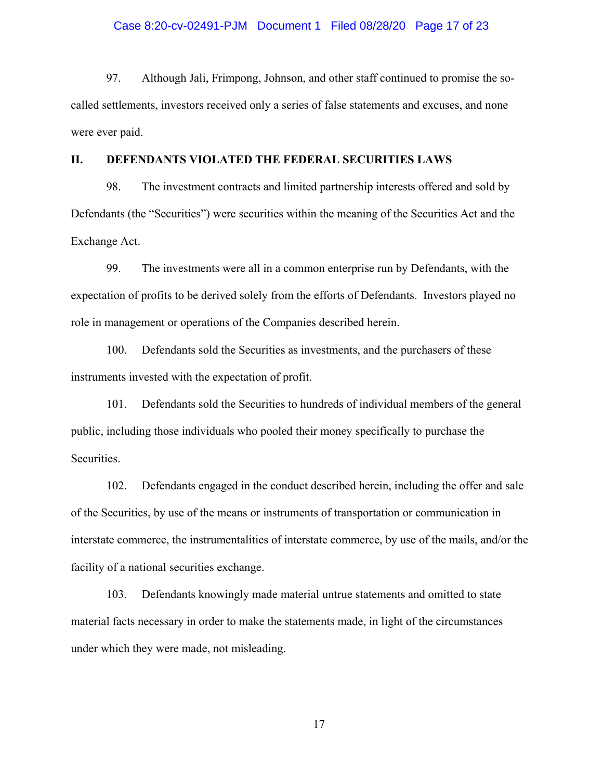#### Case 8:20-cv-02491-PJM Document 1 Filed 08/28/20 Page 17 of 23

97. Although Jali, Frimpong, Johnson, and other staff continued to promise the socalled settlements, investors received only a series of false statements and excuses, and none were ever paid.

#### **II. DEFENDANTS VIOLATED THE FEDERAL SECURITIES LAWS**

98. The investment contracts and limited partnership interests offered and sold by Defendants (the "Securities") were securities within the meaning of the Securities Act and the Exchange Act.

99. The investments were all in a common enterprise run by Defendants, with the expectation of profits to be derived solely from the efforts of Defendants. Investors played no role in management or operations of the Companies described herein.

100. Defendants sold the Securities as investments, and the purchasers of these instruments invested with the expectation of profit.

101. Defendants sold the Securities to hundreds of individual members of the general public, including those individuals who pooled their money specifically to purchase the Securities.

102. Defendants engaged in the conduct described herein, including the offer and sale of the Securities, by use of the means or instruments of transportation or communication in interstate commerce, the instrumentalities of interstate commerce, by use of the mails, and/or the facility of a national securities exchange.

103. Defendants knowingly made material untrue statements and omitted to state material facts necessary in order to make the statements made, in light of the circumstances under which they were made, not misleading.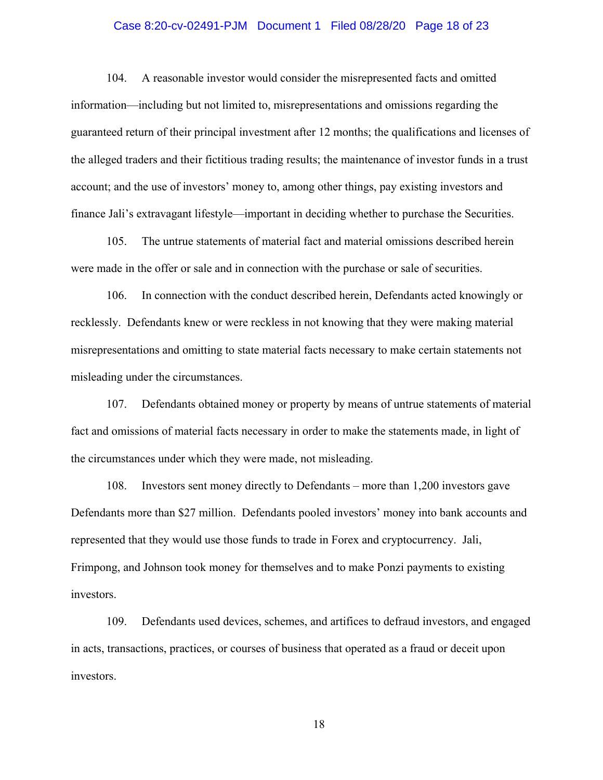## Case 8:20-cv-02491-PJM Document 1 Filed 08/28/20 Page 18 of 23

104. A reasonable investor would consider the misrepresented facts and omitted information—including but not limited to, misrepresentations and omissions regarding the guaranteed return of their principal investment after 12 months; the qualifications and licenses of the alleged traders and their fictitious trading results; the maintenance of investor funds in a trust account; and the use of investors' money to, among other things, pay existing investors and finance Jali's extravagant lifestyle—important in deciding whether to purchase the Securities.

105. The untrue statements of material fact and material omissions described herein were made in the offer or sale and in connection with the purchase or sale of securities.

106. In connection with the conduct described herein, Defendants acted knowingly or recklessly. Defendants knew or were reckless in not knowing that they were making material misrepresentations and omitting to state material facts necessary to make certain statements not misleading under the circumstances.

107. Defendants obtained money or property by means of untrue statements of material fact and omissions of material facts necessary in order to make the statements made, in light of the circumstances under which they were made, not misleading.

108. Investors sent money directly to Defendants – more than 1,200 investors gave Defendants more than \$27 million. Defendants pooled investors' money into bank accounts and represented that they would use those funds to trade in Forex and cryptocurrency. Jali, Frimpong, and Johnson took money for themselves and to make Ponzi payments to existing investors.

109. Defendants used devices, schemes, and artifices to defraud investors, and engaged in acts, transactions, practices, or courses of business that operated as a fraud or deceit upon investors.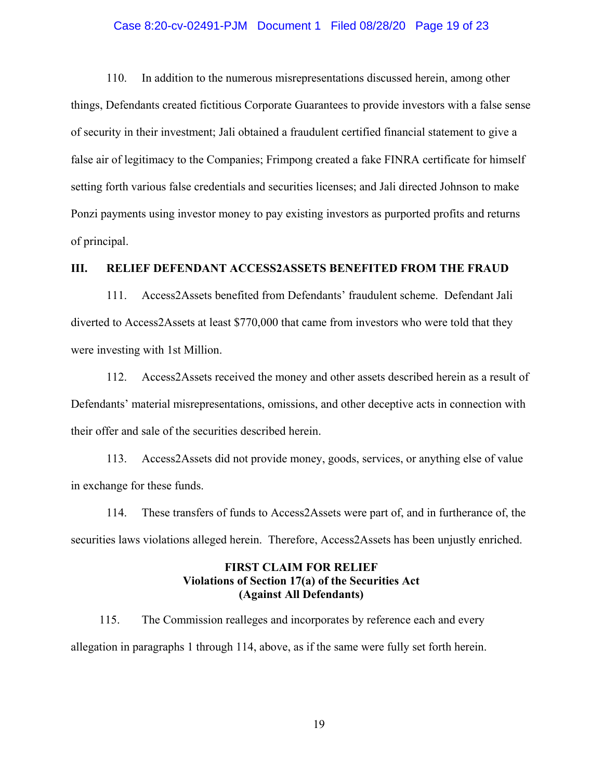### Case 8:20-cv-02491-PJM Document 1 Filed 08/28/20 Page 19 of 23

110. In addition to the numerous misrepresentations discussed herein, among other things, Defendants created fictitious Corporate Guarantees to provide investors with a false sense of security in their investment; Jali obtained a fraudulent certified financial statement to give a false air of legitimacy to the Companies; Frimpong created a fake FINRA certificate for himself setting forth various false credentials and securities licenses; and Jali directed Johnson to make Ponzi payments using investor money to pay existing investors as purported profits and returns of principal.

## **III. RELIEF DEFENDANT ACCESS2ASSETS BENEFITED FROM THE FRAUD**

111. Access2Assets benefited from Defendants' fraudulent scheme. Defendant Jali diverted to Access2Assets at least \$770,000 that came from investors who were told that they were investing with 1st Million.

112. Access2Assets received the money and other assets described herein as a result of Defendants' material misrepresentations, omissions, and other deceptive acts in connection with their offer and sale of the securities described herein.

113. Access2Assets did not provide money, goods, services, or anything else of value in exchange for these funds.

114. These transfers of funds to Access2Assets were part of, and in furtherance of, the securities laws violations alleged herein. Therefore, Access2Assets has been unjustly enriched.

# **FIRST CLAIM FOR RELIEF Violations of Section 17(a) of the Securities Act (Against All Defendants)**

115. The Commission realleges and incorporates by reference each and every allegation in paragraphs 1 through 114, above, as if the same were fully set forth herein.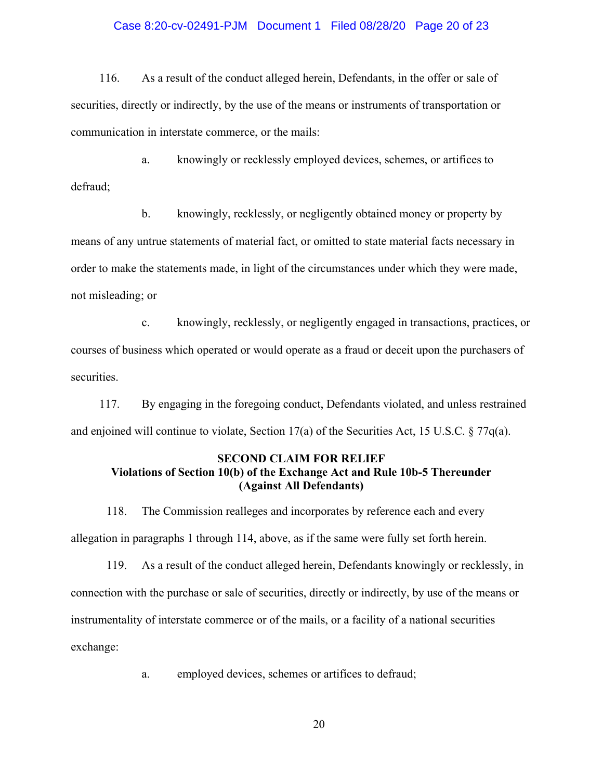## Case 8:20-cv-02491-PJM Document 1 Filed 08/28/20 Page 20 of 23

116. As a result of the conduct alleged herein, Defendants, in the offer or sale of securities, directly or indirectly, by the use of the means or instruments of transportation or communication in interstate commerce, or the mails:

a. knowingly or recklessly employed devices, schemes, or artifices to defraud;

b. knowingly, recklessly, or negligently obtained money or property by means of any untrue statements of material fact, or omitted to state material facts necessary in order to make the statements made, in light of the circumstances under which they were made, not misleading; or

c. knowingly, recklessly, or negligently engaged in transactions, practices, or courses of business which operated or would operate as a fraud or deceit upon the purchasers of securities.

117. By engaging in the foregoing conduct, Defendants violated, and unless restrained and enjoined will continue to violate, Section 17(a) of the Securities Act, 15 U.S.C.  $\S 77q(a)$ .

## **SECOND CLAIM FOR RELIEF Violations of Section 10(b) of the Exchange Act and Rule 10b-5 Thereunder (Against All Defendants)**

118. The Commission realleges and incorporates by reference each and every allegation in paragraphs 1 through 114, above, as if the same were fully set forth herein.

119. As a result of the conduct alleged herein, Defendants knowingly or recklessly, in connection with the purchase or sale of securities, directly or indirectly, by use of the means or instrumentality of interstate commerce or of the mails, or a facility of a national securities exchange:

a. employed devices, schemes or artifices to defraud;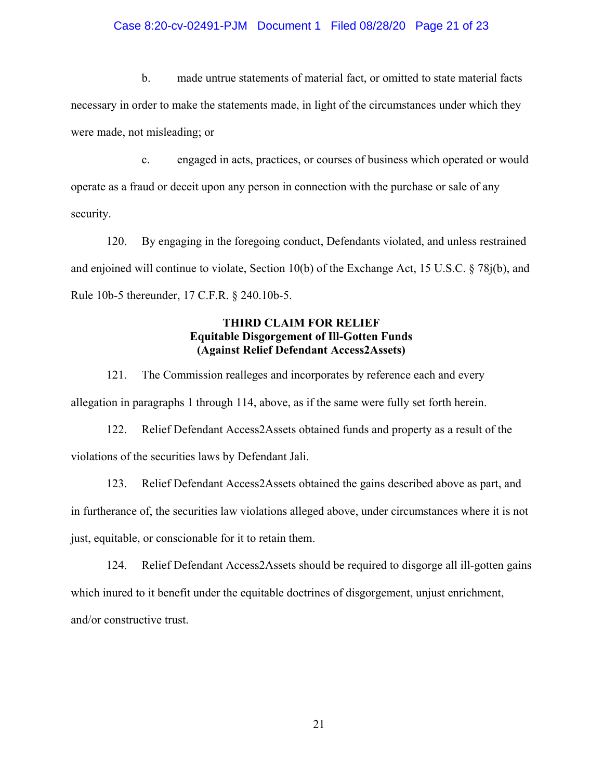### Case 8:20-cv-02491-PJM Document 1 Filed 08/28/20 Page 21 of 23

b. made untrue statements of material fact, or omitted to state material facts necessary in order to make the statements made, in light of the circumstances under which they were made, not misleading; or

c. engaged in acts, practices, or courses of business which operated or would operate as a fraud or deceit upon any person in connection with the purchase or sale of any security.

120. By engaging in the foregoing conduct, Defendants violated, and unless restrained and enjoined will continue to violate, Section 10(b) of the Exchange Act, 15 U.S.C. § 78j(b), and Rule 10b-5 thereunder, 17 C.F.R. § 240.10b-5.

# **THIRD CLAIM FOR RELIEF Equitable Disgorgement of Ill-Gotten Funds (Against Relief Defendant Access2Assets)**

121. The Commission realleges and incorporates by reference each and every allegation in paragraphs 1 through 114, above, as if the same were fully set forth herein.

122. Relief Defendant Access2Assets obtained funds and property as a result of the violations of the securities laws by Defendant Jali.

123. Relief Defendant Access2Assets obtained the gains described above as part, and in furtherance of, the securities law violations alleged above, under circumstances where it is not just, equitable, or conscionable for it to retain them.

124. Relief Defendant Access2Assets should be required to disgorge all ill-gotten gains which inured to it benefit under the equitable doctrines of disgorgement, unjust enrichment, and/or constructive trust.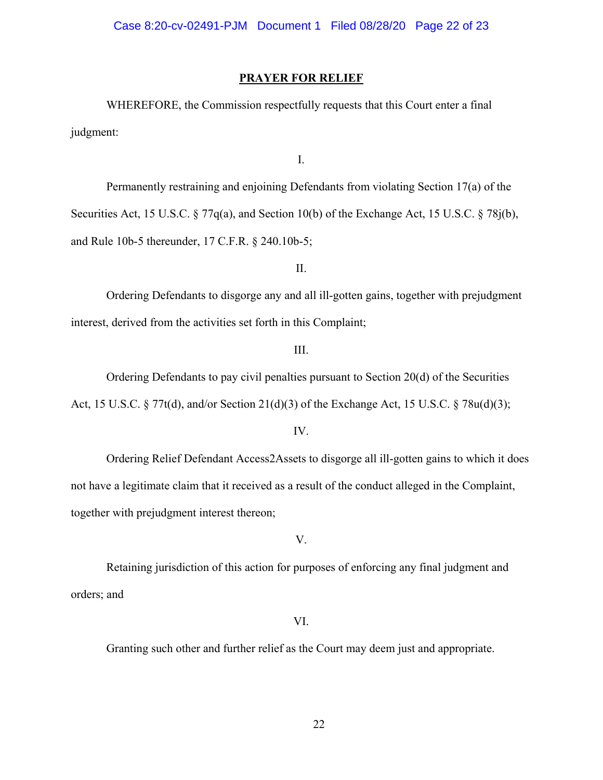### **PRAYER FOR RELIEF**

WHEREFORE, the Commission respectfully requests that this Court enter a final judgment:

I.

Permanently restraining and enjoining Defendants from violating Section 17(a) of the Securities Act, 15 U.S.C. § 77q(a), and Section 10(b) of the Exchange Act, 15 U.S.C. § 78j(b), and Rule 10b-5 thereunder, 17 C.F.R. § 240.10b-5;

II.

Ordering Defendants to disgorge any and all ill-gotten gains, together with prejudgment interest, derived from the activities set forth in this Complaint;

#### III.

Ordering Defendants to pay civil penalties pursuant to Section 20(d) of the Securities

Act, 15 U.S.C. § 77t(d), and/or Section 21(d)(3) of the Exchange Act, 15 U.S.C. § 78u(d)(3);

IV.

Ordering Relief Defendant Access2Assets to disgorge all ill-gotten gains to which it does not have a legitimate claim that it received as a result of the conduct alleged in the Complaint, together with prejudgment interest thereon;

#### V.

Retaining jurisdiction of this action for purposes of enforcing any final judgment and orders; and

VI.

Granting such other and further relief as the Court may deem just and appropriate.